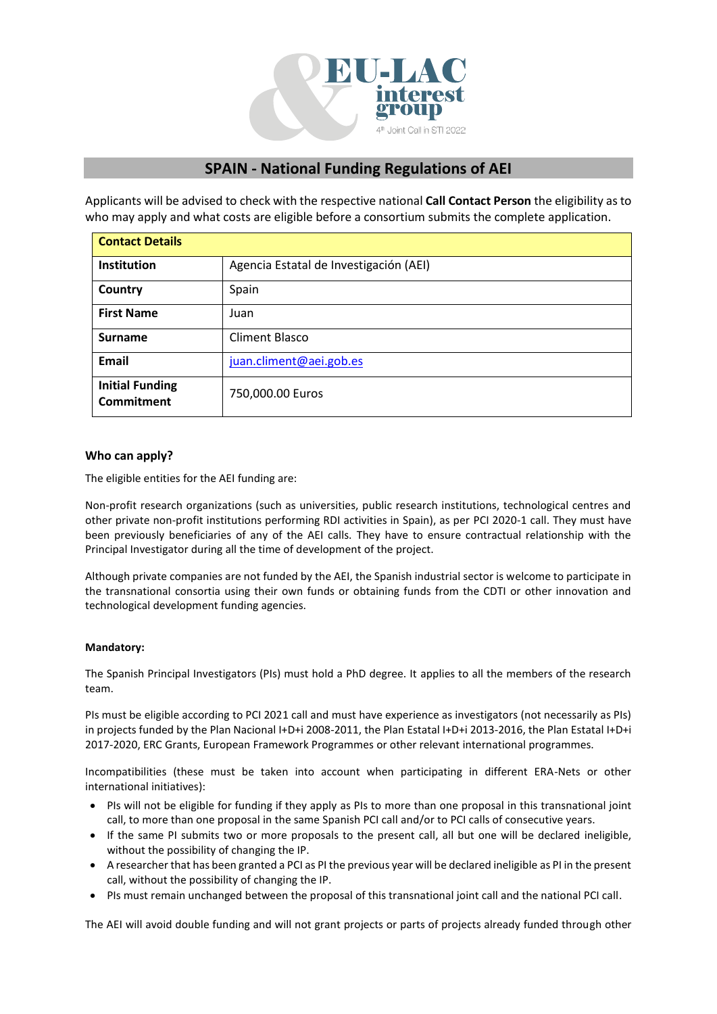

# **SPAIN - National Funding Regulations of AEI**

Applicants will be advised to check with the respective national **Call Contact Person** the eligibility as to who may apply and what costs are eligible before a consortium submits the complete application.

| <b>Contact Details</b>                      |                                        |
|---------------------------------------------|----------------------------------------|
| <b>Institution</b>                          | Agencia Estatal de Investigación (AEI) |
| Country                                     | Spain                                  |
| <b>First Name</b>                           | Juan                                   |
| <b>Surname</b>                              | <b>Climent Blasco</b>                  |
| <b>Email</b>                                | juan.climent@aei.gob.es                |
| <b>Initial Funding</b><br><b>Commitment</b> | 750,000.00 Euros                       |

# **Who can apply?**

The eligible entities for the AEI funding are:

Non-profit research organizations (such as universities, public research institutions, technological centres and other private non-profit institutions performing RDI activities in Spain), as per [PCI 2020-1](http://www.aei.gob.es/portal/site/MICINN/menuitem.791459a43fdf738d70fd325001432ea0/?vgnextoid=e37a3e5158b31710VgnVCM1000001d04140aRCRD&vgnextchannel=b24e067c468a4610VgnVCM1000001d04140aRCRD&vgnextfmt=formato2&id3=a07a3e5158b31710VgnVCM1000001d04140a____) call. They must have been previously beneficiaries of any of the AEI calls. They have to ensure contractual relationship with the Principal Investigator during all the time of development of the project.

Although private companies are not funded by the AEI, the Spanish industrial sector is welcome to participate in the transnational consortia using their own funds or obtaining funds from the CDTI or other innovation and technological development funding agencies.

## **Mandatory:**

The Spanish Principal Investigators (PIs) must hold a PhD degree. It applies to all the members of the research team.

PIs must be eligible according to PCI 2021 call and must have experience as investigators (not necessarily as PIs) in projects funded by the Plan Nacional I+D+i 2008-2011, the Plan Estatal I+D+i 2013-2016, the Plan Estatal I+D+i 2017-2020, ERC Grants, European Framework Programmes or other relevant international programmes.

Incompatibilities (these must be taken into account when participating in different ERA-Nets or other international initiatives):

- PIs will not be eligible for funding if they apply as PIs to more than one proposal in this transnational joint call, to more than one proposal in the same Spanish PCI call and/or to PCI calls of consecutive years.
- If the same PI submits two or more proposals to the present call, all but one will be declared ineligible, without the possibility of changing the IP.
- A researcher that has been granted a PCI as PI the previous year will be declared ineligible as PI in the present call, without the possibility of changing the IP.
- PIs must remain unchanged between the proposal of this transnational joint call and the national PCI call.

The AEI will avoid double funding and will not grant projects or parts of projects already funded through other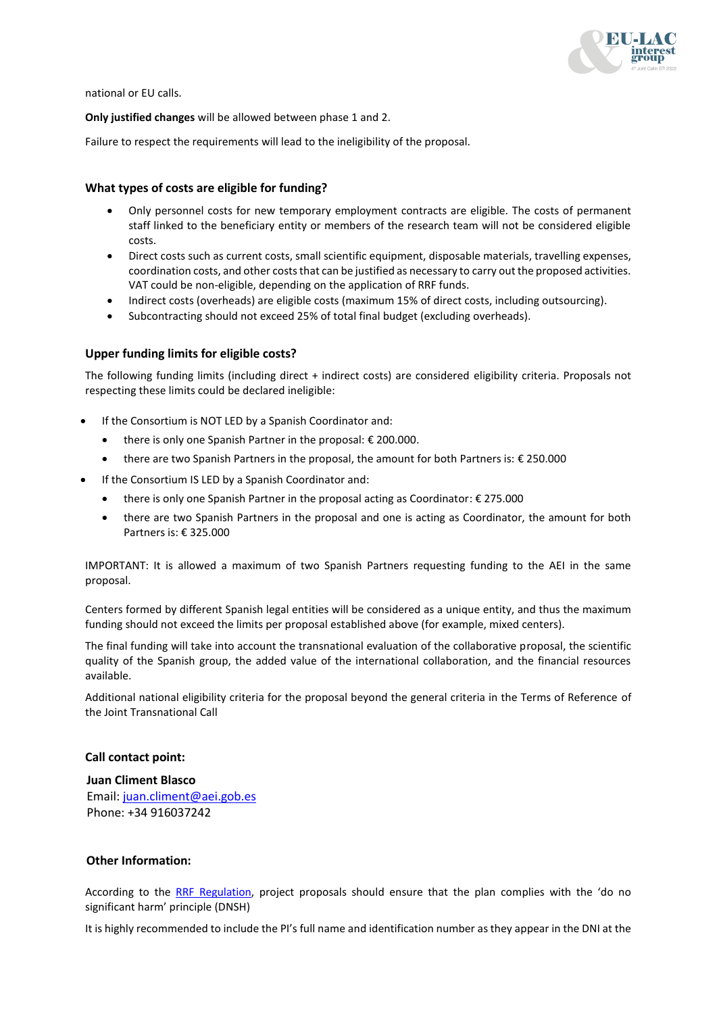

national or EU calls.

**Only justified changes** will be allowed between phase 1 and 2.

Failure to respect the requirements will lead to the ineligibility of the proposal.

## **What types of costs are eligible for funding?**

- Only personnel costs for new temporary employment contracts are eligible. The costs of permanent staff linked to the beneficiary entity or members of the research team will not be considered eligible costs.
- Direct costs such as current costs, small scientific equipment, disposable materials, travelling expenses, coordination costs, and other costs that can be justified as necessary to carry out the proposed activities. VAT could be non-eligible, depending on the application of RRF funds.
- Indirect costs (overheads) are eligible costs (maximum 15% of direct costs, including outsourcing).
- Subcontracting should not exceed 25% of total final budget (excluding overheads).

## **Upper funding limits for eligible costs?**

The following funding limits (including direct + indirect costs) are considered eligibility criteria. Proposals not respecting these limits could be declared ineligible:

- If the Consortium is NOT LED by a Spanish Coordinator and:
	- there is only one Spanish Partner in the proposal: € 200.000.
	- there are two Spanish Partners in the proposal, the amount for both Partners is: € 250.000
- If the Consortium IS LED by a Spanish Coordinator and:
	- there is only one Spanish Partner in the proposal acting as Coordinator: € 275.000
	- there are two Spanish Partners in the proposal and one is acting as Coordinator, the amount for both Partners is: € 325.000

IMPORTANT: It is allowed a maximum of two Spanish Partners requesting funding to the AEI in the same proposal.

Centers formed by different Spanish legal entities will be considered as a unique entity, and thus the maximum funding should not exceed the limits per proposal established above (for example, mixed centers).

The final funding will take into account the transnational evaluation of the collaborative proposal, the scientific quality of the Spanish group, the added value of the international collaboration, and the financial resources available.

Additional national eligibility criteria for the proposal beyond the general criteria in the Terms of Reference of the Joint Transnational Call

## **Call contact point:**

**Juan Climent Blasco** Email: [juan.climent@aei.gob.es](mailto:juan.climent@aei.gob.es) Phone: +34 916037242

### **Other Information:**

According to the [RRF Regulation,](https://ec.europa.eu/info/sites/default/files/c2021_1054_en.pdf) project proposals should ensure that the plan complies with the 'do no significant harm' principle (DNSH)

It is highly recommended to include the PI's full name and identification number as they appear in the DNI at the